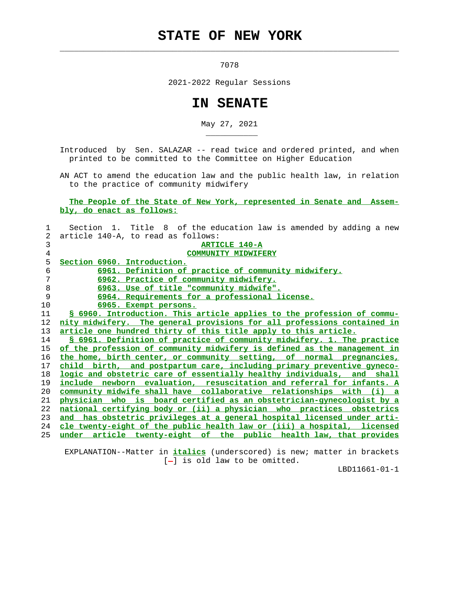## **STATE OF NEW YORK**

 $\mathcal{L}_\text{max} = \frac{1}{2} \sum_{i=1}^{n} \frac{1}{2} \sum_{i=1}^{n} \frac{1}{2} \sum_{i=1}^{n} \frac{1}{2} \sum_{i=1}^{n} \frac{1}{2} \sum_{i=1}^{n} \frac{1}{2} \sum_{i=1}^{n} \frac{1}{2} \sum_{i=1}^{n} \frac{1}{2} \sum_{i=1}^{n} \frac{1}{2} \sum_{i=1}^{n} \frac{1}{2} \sum_{i=1}^{n} \frac{1}{2} \sum_{i=1}^{n} \frac{1}{2} \sum_{i=1}^{n} \frac{1$ 

\_\_\_\_\_\_\_\_\_\_\_

7078

2021-2022 Regular Sessions

## **IN SENATE**

May 27, 2021

 Introduced by Sen. SALAZAR -- read twice and ordered printed, and when printed to be committed to the Committee on Higher Education

 AN ACT to amend the education law and the public health law, in relation to the practice of community midwifery

 **The People of the State of New York, represented in Senate and Assem bly, do enact as follows:**

| 1  | Section 1. Title 8 of the education law is amended by adding a new           |
|----|------------------------------------------------------------------------------|
| 2  | article 140-A, to read as follows:                                           |
| 3  | ARTICLE 140-A                                                                |
| 4  | <b>COMMUNITY MIDWIFERY</b>                                                   |
| 5  | Section 6960. Introduction.                                                  |
| 6  | 6961. Definition of practice of community midwifery.                         |
| 7  | 6962. Practice of community midwifery.                                       |
| 8  | 6963. Use of title "community midwife".                                      |
| 9  | 6964. Requirements for a professional license.                               |
| 10 | 6965. Exempt persons.                                                        |
| 11 | S 6960. Introduction. This article applies to the profession of commu-       |
| 12 | nity midwifery. The general provisions for all professions contained in      |
| 13 | article one hundred thirty of this title apply to this article.              |
| 14 | \$ 6961. Definition of practice of community midwifery. 1. The practice      |
| 15 | of the profession of community midwifery is defined as the management in     |
| 16 | the home, birth center, or community setting, of normal pregnancies,         |
| 17 | child birth, and postpartum care, including primary preventive gyneco-       |
| 18 | logic and obstetric care of essentially healthy individuals, and shall       |
| 19 | include newborn evaluation, resuscitation and referral for infants. A        |
| 20 | <u>community midwife shall have collaborative relationships with (i) a</u>   |
| 21 | <u>physician who is board certified as an obstetrician-gynecologist by a</u> |
| 22 | national certifying body or (ii) a physician who practices obstetrics        |
| 23 | and has obstetric privileges at a general hospital licensed under arti-      |
| 24 | cle twenty-eight of the public health law or (iii) a hospital, licensed      |
| 25 | under article twenty-eight of the public health law, that provides           |
|    |                                                                              |

 EXPLANATION--Matter in **italics** (underscored) is new; matter in brackets [-] is old law to be omitted.

LBD11661-01-1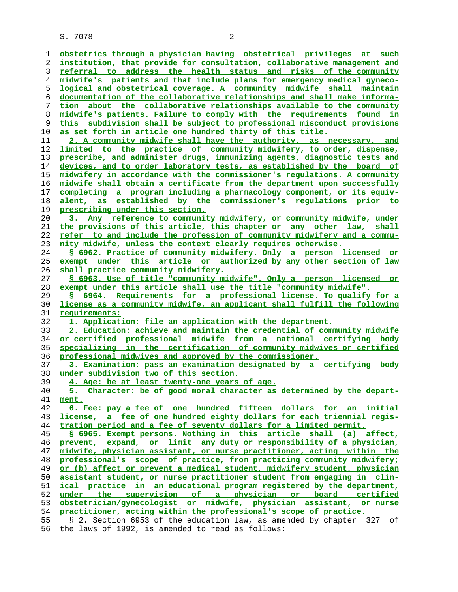S. 7078 2

**obstetrics through a physician having obstetrical privileges at such institution, that provide for consultation, collaborative management and referral to address the health status and risks of the community midwife's patients and that include plans for emergency medical gyneco- logical and obstetrical coverage. A community midwife shall maintain documentation of the collaborative relationships and shall make informa- tion about the collaborative relationships available to the community midwife's patients. Failure to comply with the requirements found in this subdivision shall be subject to professional misconduct provisions as set forth in article one hundred thirty of this title. 2. A community midwife shall have the authority, as necessary, and limited to the practice of community midwifery, to order, dispense, prescribe, and administer drugs, immunizing agents, diagnostic tests and devices, and to order laboratory tests, as established by the board of midwifery in accordance with the commissioner's regulations. A community midwife shall obtain a certificate from the department upon successfully completing a program including a pharmacology component, or its equiv- alent, as established by the commissioner's regulations prior to prescribing under this section. 3. Any reference to community midwifery, or community midwife, under the provisions of this article, this chapter or any other law, shall refer to and include the profession of community midwifery and a commu- nity midwife, unless the context clearly requires otherwise. § 6962. Practice of community midwifery. Only a person licensed or exempt under this article or authorized by any other section of law shall practice community midwifery. § 6963. Use of title "community midwife". Only a person licensed or exempt under this article shall use the title "community midwife". § 6964. Requirements for a professional license. To qualify for a license as a community midwife, an applicant shall fulfill the following requirements: 1. Application: file an application with the department. 2. Education: achieve and maintain the credential of community midwife or certified professional midwife from a national certifying body specializing in the certification of community midwives or certified professional midwives and approved by the commissioner. 3. Examination: pass an examination designated by a certifying body under subdivision two of this section. 4. Age: be at least twenty-one years of age. 5. Character: be of good moral character as determined by the depart- ment. 6. Fee: pay a fee of one hundred fifteen dollars for an initial license, a fee of one hundred eighty dollars for each triennial regis- tration period and a fee of seventy dollars for a limited permit. § 6965. Exempt persons. Nothing in this article shall (a) affect, prevent, expand, or limit any duty or responsibility of a physician, midwife, physician assistant, or nurse practitioner, acting within the professional's scope of practice, from practicing community midwifery; or (b) affect or prevent a medical student, midwifery student, physician assistant student, or nurse practitioner student from engaging in clin- ical practice in an educational program registered by the department, under the supervision of a physician or board certified obstetrician/gynecologist or midwife, physician assistant, or nurse practitioner, acting within the professional's scope of practice.** 55 § 2. Section 6953 of the education law, as amended by chapter 327 of

56 the laws of 1992, is amended to read as follows: